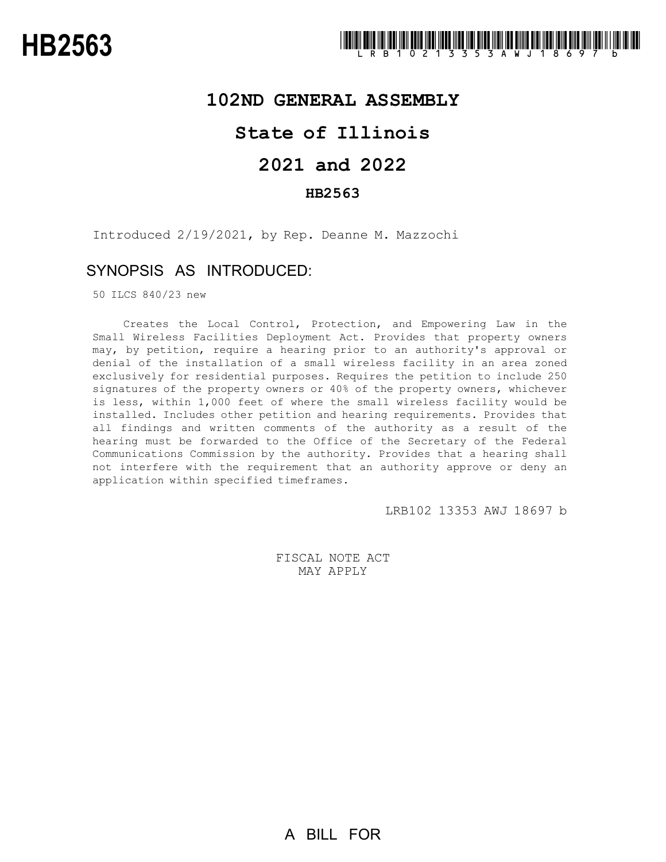## **102ND GENERAL ASSEMBLY**

## **State of Illinois**

# **2021 and 2022**

## **HB2563**

Introduced 2/19/2021, by Rep. Deanne M. Mazzochi

## SYNOPSIS AS INTRODUCED:

50 ILCS 840/23 new

Creates the Local Control, Protection, and Empowering Law in the Small Wireless Facilities Deployment Act. Provides that property owners may, by petition, require a hearing prior to an authority's approval or denial of the installation of a small wireless facility in an area zoned exclusively for residential purposes. Requires the petition to include 250 signatures of the property owners or 40% of the property owners, whichever is less, within 1,000 feet of where the small wireless facility would be installed. Includes other petition and hearing requirements. Provides that all findings and written comments of the authority as a result of the hearing must be forwarded to the Office of the Secretary of the Federal Communications Commission by the authority. Provides that a hearing shall not interfere with the requirement that an authority approve or deny an application within specified timeframes.

LRB102 13353 AWJ 18697 b

FISCAL NOTE ACT MAY APPLY

A BILL FOR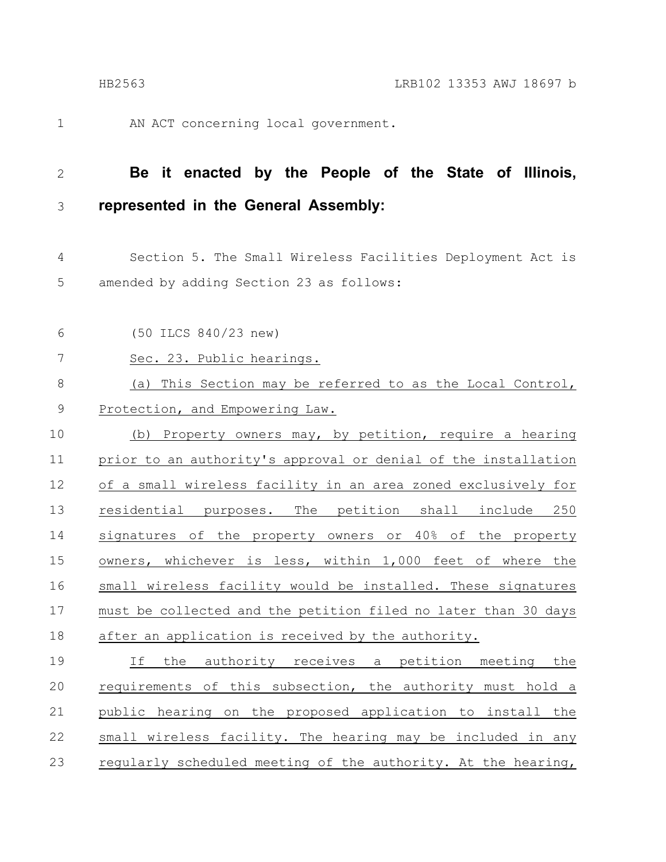AN ACT concerning local government.

1

### **Be it enacted by the People of the State of Illinois, represented in the General Assembly:** 2 3

Section 5. The Small Wireless Facilities Deployment Act is amended by adding Section 23 as follows: 4 5

(50 ILCS 840/23 new) 6

Sec. 23. Public hearings. 7

#### (a) This Section may be referred to as the Local Control, Protection, and Empowering Law. 8 9

(b) Property owners may, by petition, require a hearing prior to an authority's approval or denial of the installation of a small wireless facility in an area zoned exclusively for residential purposes. The petition shall include 250 signatures of the property owners or 40% of the property owners, whichever is less, within 1,000 feet of where the small wireless facility would be installed. These signatures must be collected and the petition filed no later than 30 days after an application is received by the authority. 10 11 12 13 14 15 16 17 18

If the authority receives a petition meeting the requirements of this subsection, the authority must hold a public hearing on the proposed application to install the small wireless facility. The hearing may be included in any regularly scheduled meeting of the authority. At the hearing, 19 20 21 22 23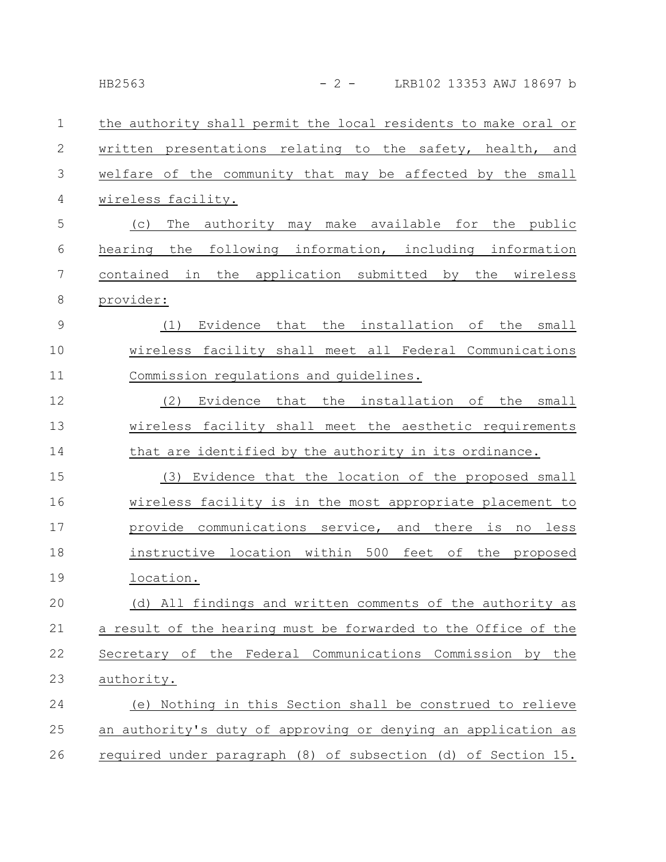the authority shall permit the local residents to make oral or written presentations relating to the safety, health, and welfare of the community that may be affected by the small wireless facility. 1 2 3 4

(c) The authority may make available for the public hearing the following information, including information contained in the application submitted by the wireless provider: 5 6 7 8

(1) Evidence that the installation of the small wireless facility shall meet all Federal Communications Commission regulations and guidelines. 9 10 11

(2) Evidence that the installation of the small wireless facility shall meet the aesthetic requirements that are identified by the authority in its ordinance. 12 13 14

(3) Evidence that the location of the proposed small wireless facility is in the most appropriate placement to provide communications service, and there is no less instructive location within 500 feet of the proposed location. 15 16 17 18 19

(d) All findings and written comments of the authority as a result of the hearing must be forwarded to the Office of the Secretary of the Federal Communications Commission by the authority. 20 21 22 23

(e) Nothing in this Section shall be construed to relieve an authority's duty of approving or denying an application as required under paragraph (8) of subsection (d) of Section 15. 24 25 26